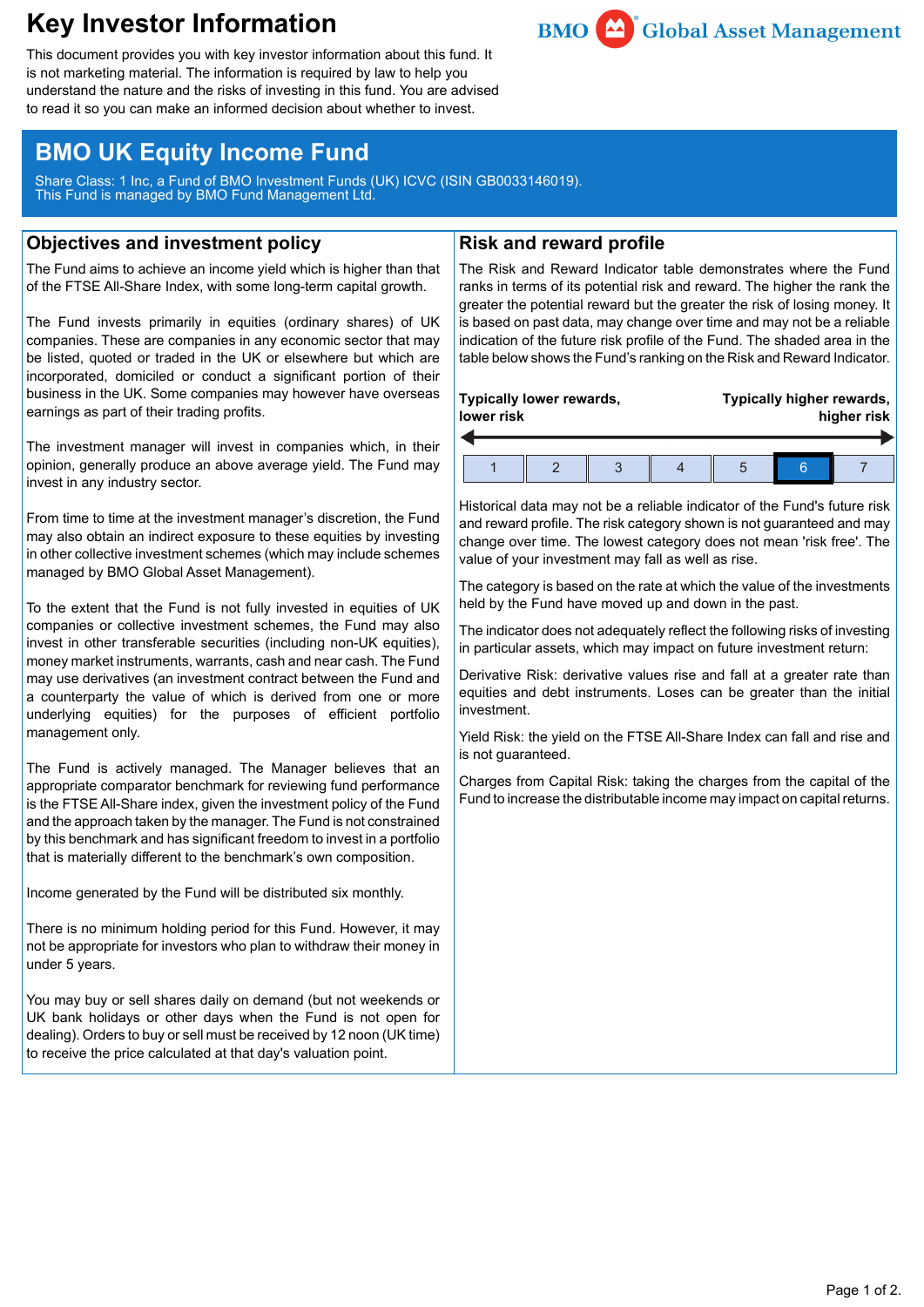# **Key Investor Information**



This document provides you with key investor information about this fund. It is not marketing material. The information is required by law to help you understand the nature and the risks of investing in this fund. You are advised to read it so you can make an informed decision about whether to invest.

## **BMO UK Equity Income Fund**

Share Class: 1 Inc, a Fund of BMO Investment Funds (UK) ICVC (ISIN GB0033146019). This Fund is managed by BMO Fund Management Ltd.

## **Objectives and investment policy**

The Fund aims to achieve an income yield which is higher than that of the FTSE All-Share Index, with some long-term capital growth.

The Fund invests primarily in equities (ordinary shares) of UK companies. These are companies in any economic sector that may be listed, quoted or traded in the UK or elsewhere but which are incorporated, domiciled or conduct a significant portion of their business in the UK. Some companies may however have overseas earnings as part of their trading profits.

The investment manager will invest in companies which, in their opinion, generally produce an above average yield. The Fund may invest in any industry sector.

From time to time at the investment manager's discretion, the Fund may also obtain an indirect exposure to these equities by investing in other collective investment schemes (which may include schemes managed by BMO Global Asset Management).

To the extent that the Fund is not fully invested in equities of UK companies or collective investment schemes, the Fund may also invest in other transferable securities (including non-UK equities), money market instruments, warrants, cash and near cash. The Fund may use derivatives (an investment contract between the Fund and a counterparty the value of which is derived from one or more underlying equities) for the purposes of efficient portfolio management only.

The Fund is actively managed. The Manager believes that an appropriate comparator benchmark for reviewing fund performance is the FTSE All-Share index, given the investment policy of the Fund and the approach taken by the manager. The Fund is not constrained by this benchmark and has significant freedom to invest in a portfolio that is materially different to the benchmark's own composition.

Income generated by the Fund will be distributed six monthly.

There is no minimum holding period for this Fund. However, it may not be appropriate for investors who plan to withdraw their money in under 5 years.

You may buy or sell shares daily on demand (but not weekends or UK bank holidays or other days when the Fund is not open for dealing). Orders to buy or sell must be received by 12 noon (UK time) to receive the price calculated at that day's valuation point.

## **Risk and reward profile**

The Risk and Reward Indicator table demonstrates where the Fund ranks in terms of its potential risk and reward. The higher the rank the greater the potential reward but the greater the risk of losing money. It is based on past data, may change over time and may not be a reliable indication of the future risk profile of the Fund. The shaded area in the table below shows the Fund's ranking on the Risk and Reward Indicator.

| Typically lower rewards, |  |  |  |  | Typically higher rewards, |  |  |
|--------------------------|--|--|--|--|---------------------------|--|--|
| lower risk               |  |  |  |  | higher risk               |  |  |
|                          |  |  |  |  |                           |  |  |

Historical data may not be a reliable indicator of the Fund's future risk and reward profile. The risk category shown is not guaranteed and may change over time. The lowest category does not mean 'risk free'. The value of your investment may fall as well as rise.

The category is based on the rate at which the value of the investments held by the Fund have moved up and down in the past.

The indicator does not adequately reflect the following risks of investing in particular assets, which may impact on future investment return:

Derivative Risk: derivative values rise and fall at a greater rate than equities and debt instruments. Loses can be greater than the initial investment.

Yield Risk: the yield on the FTSE All-Share Index can fall and rise and is not guaranteed.

Charges from Capital Risk: taking the charges from the capital of the Fund to increase the distributable income may impact on capital returns.